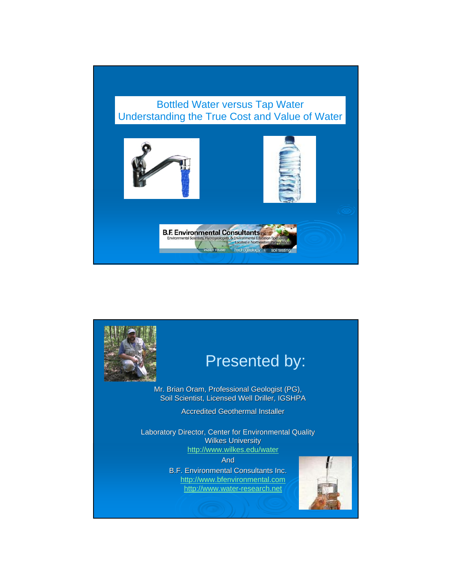#### Bottled Water versus Tap Water Understanding the True Cost and Value of Water



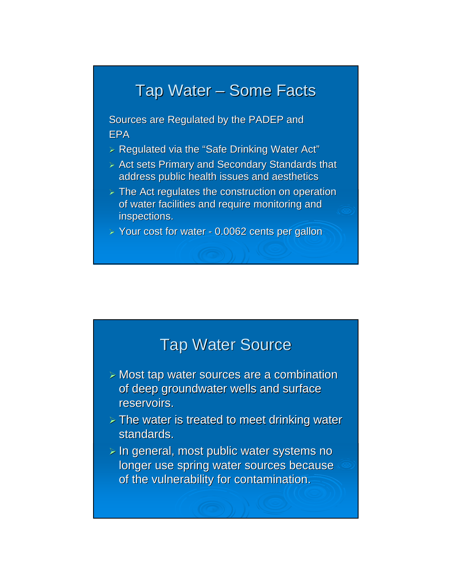## Tap Water – Some Facts

Sources are Regulated by the PADEP and EPA

- $\triangleright$  Regulated via the "Safe Drinking Water Act"
- $\triangleright$  Act sets Primary and Secondary Standards that address public health issues and aesthetics
- $\triangleright$  The Act regulates the construction on operation of water facilities and require monitoring and inspections.

 $\ge$  Your cost for water - 0.0062 cents per gallon

### **Tap Water Source**

- $\geq$  Most tap water sources are a combination of deep groundwater wells and surface reservoirs.
- $>$  The water is treated to meet drinking water standards.
- $\triangleright$  In general, most public water systems no longer use spring water sources because of the vulnerability for contamination.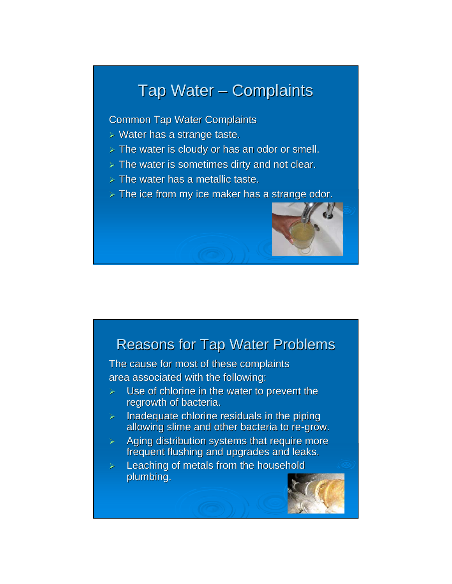## Tap Water – Complaints

**Common Tap Water Complaints** 

- $\triangleright$  Water has a strange taste.
- $\triangleright$  The water is cloudy or has an odor or smell.
- $>$  The water is sometimes dirty and not clear.
- $>$  The water has a metallic taste.
- $\triangleright$  The ice from my ice maker has a strange odor.

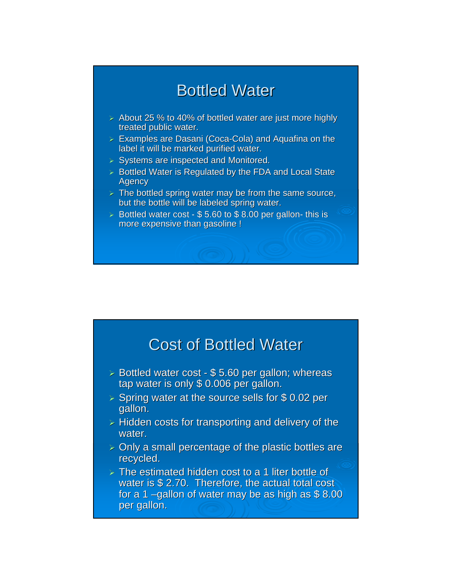## **Bottled Water**

- $\geq$  About 25 % to 40% of bottled water are just more highly treated public water.
- $\ge$  Examples are Dasani (Coca-Cola) and Aquafina on the label it will be marked purified water.
- $\triangleright$  Systems are inspected and Monitored.
- $\triangleright$  Bottled Water is Regulated by the FDA and Local State **Agency**
- $\triangleright$  The bottled spring water may be from the same source, but the bottle will be labeled spring water.
- $\geq$  Bottled water cost \$ 5.60 to \$ 8.00 per gallon- this is more expensive than gasoline !

### **Cost of Bottled Water**

- $\geq$  Bottled water cost \$ 5.60 per gallon; whereas tap water is only  $$ 0.006$  per gallon.
- $\geq$  Spring water at the source sells for \$ 0.02 per gallon.
- $\triangleright$  Hidden costs for transporting and delivery of the water.
- $\geq$  Only a small percentage of the plastic bottles are recycled.
- $\triangleright$  The estimated hidden cost to a 1 liter bottle of water is  $$ 2.70.$  Therefore, the actual total cost for a 1 –gallon of water may be as high as  $$ 8.00$ per gallon.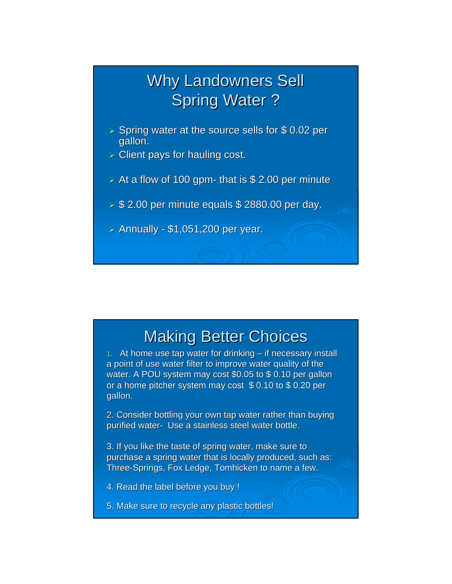## **Why Landowners Sell Spring Water?**

- $\ge$  Spring water at the source sells for \$0.02 per gallon.
- $\triangleright$  Client pays for hauling cost.
- $\geq$  At a flow of 100 gpm- that is \$ 2.00 per minute
- $\geq$  \$ 2.00 per minute equals \$ 2880.00 per day.
- $>$  Annually \$1,051,200 per year.

## **Making Better Choices**

1. At home use tap water for drinking  $-$  if necessary install a point of use water filter to improve water quality of the water. A POU system may cost \$0.05 to \$ 0.10 per gallon or a home pitcher system may cost  $$ 0.10$  to  $$ 0.20$  per gallon.

2. Consider bottling your own tap water rather than buying purified water- Use a stainless steel water bottle.

3. If you like the taste of spring water, make sure to purchase a spring water that is locally produced, such as: Three-Springs, Fox Ledge, Tomhicken to name a few.

4. Read the label before you buy !

5. Make sure to recycle any plastic bottles!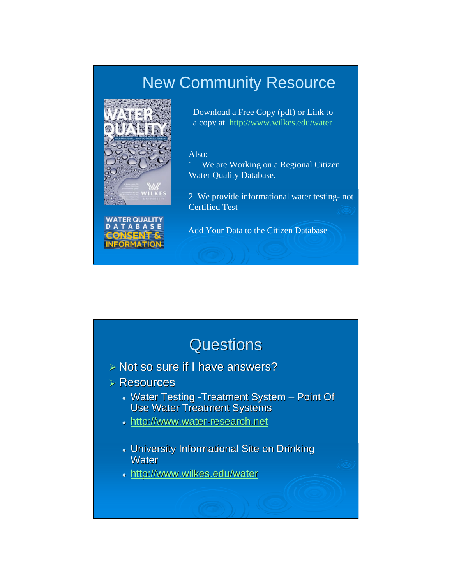## New Community Resource



Download a Free Copy (pdf) or Link to a copy at http://www.wilkes.edu/water

#### Also:

1. We are Working on a Regional Citizen Water Quality Database.

2. We provide informational water testing- not Certified Test



Add Your Data to the Citizen Database

## **Questions**

- $\triangleright$  Not so sure if I have answers?
- $\triangleright$  Resources
	- Water Testing -Treatment System Point Of Use Water Treatment Systems
	- http://www.water-research.net
	- University Informational Site on Drinking **Water**
	- http://www.wilkes.edu/water